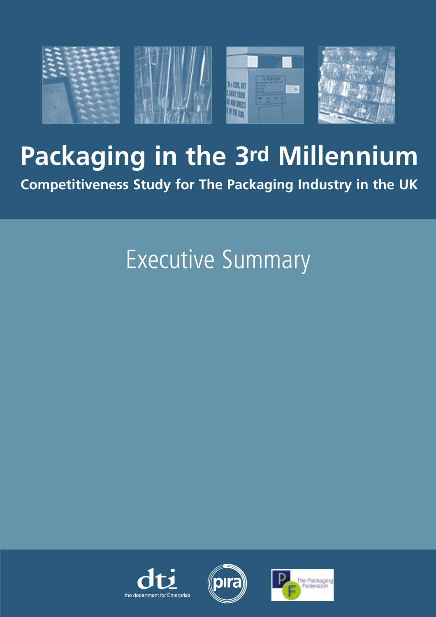

# **Packaging in the 3rd Millennium**

**Competitiveness Study for The Packaging Industry in the UK**

# Executive Summary





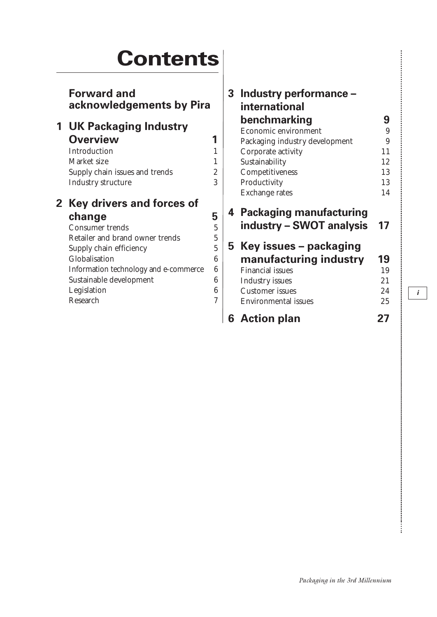# **Contents**

|                | <b>Forward and</b><br>acknowledgements by Pira |                | 3 | Industry performance -<br>international |        |
|----------------|------------------------------------------------|----------------|---|-----------------------------------------|--------|
|                | <b>1 UK Packaging Industry</b>                 |                |   | benchmarking<br>Economic environment    | 9<br>9 |
|                | <b>Overview</b>                                | 1              |   | Packaging industry development          | 9      |
|                | Introduction                                   | 1              |   | Corporate activity                      | 11     |
|                | Market size                                    |                |   | Sustainability                          | 12     |
|                | Supply chain issues and trends                 | $\overline{2}$ |   | Competitiveness                         | 13     |
|                | Industry structure                             | 3              |   | Productivity                            | 13     |
|                |                                                |                |   | Exchange rates                          | 14     |
| $\mathbf{2}^-$ | <b>Key drivers and forces of</b>               |                |   |                                         |        |
|                | change                                         | 5              |   | 4 Packaging manufacturing               |        |
|                | <b>Consumer trends</b>                         | 5              |   | industry – SWOT analysis                | 17     |
|                | Retailer and brand owner trends                | $\overline{5}$ |   |                                         |        |
|                | Supply chain efficiency                        | 5              |   | 5 Key issues – packaging                |        |
|                | Globalisation                                  | 6              |   | manufacturing industry                  | 19     |
|                | Information technology and e-commerce          | 6              |   | <b>Financial issues</b>                 | 19     |
|                | Sustainable development                        | 6              |   | Industry issues                         | 21     |
|                | Legislation                                    | 6              |   | <b>Customer</b> issues                  | 24     |
|                | Research                                       | 7              |   | <b>Environmental issues</b>             | 25     |
|                |                                                |                |   | <b>6</b> Action plan                    | 27     |

*i*

............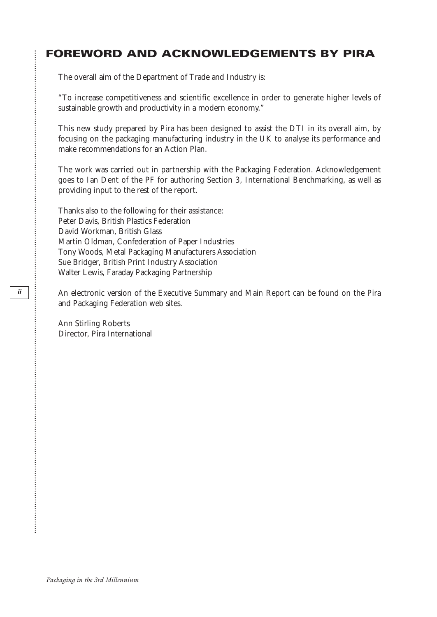### **FOREWORD AND ACKNOWLEDGEMENTS BY PIRA**

The overall aim of the Department of Trade and Industry is:

"To increase competitiveness and scientific excellence in order to generate higher levels of sustainable growth and productivity in a modern economy."

This new study prepared by Pira has been designed to assist the DTI in its overall aim, by focusing on the packaging manufacturing industry in the UK to analyse its performance and make recommendations for an Action Plan.

The work was carried out in partnership with the Packaging Federation. Acknowledgement goes to Ian Dent of the PF for authoring Section 3, International Benchmarking, as well as providing input to the rest of the report.

Thanks also to the following for their assistance: Peter Davis, British Plastics Federation David Workman, British Glass Martin Oldman, Confederation of Paper Industries Tony Woods, Metal Packaging Manufacturers Association Sue Bridger, British Print Industry Association Walter Lewis, Faraday Packaging Partnership

An electronic version of the Executive Summary and Main Report can be found on the Pira and Packaging Federation web sites.

Ann Stirling Roberts Director, Pira International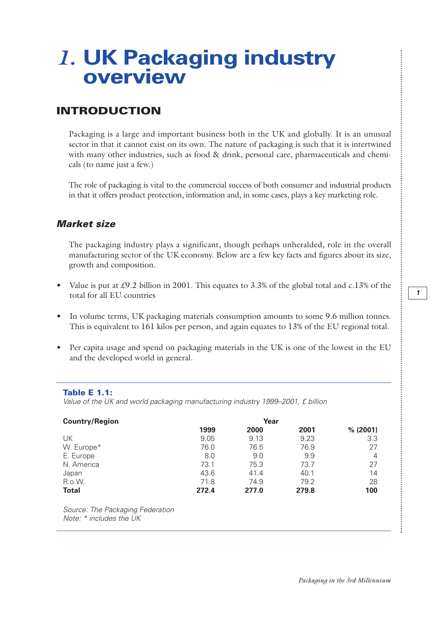### *1.* **UK Packaging industry overview**

#### **INTRODUCTION**

Packaging is a large and important business both in the UK and globally. It is an unusual sector in that it cannot exist on its own. The nature of packaging is such that it is intertwined with many other industries, such as food & drink, personal care, pharmaceuticals and chemicals (to name just a few.)

The role of packaging is vital to the commercial success of both consumer and industrial products in that it offers product protection, information and, in some cases, plays a key marketing role.

#### *Market size*

The packaging industry plays a significant, though perhaps unheralded, role in the overall manufacturing sector of the UK economy. Below are a few key facts and figures about its size, growth and composition.

- Value is put at £9.2 billion in 2001. This equates to 3.3% of the global total and c.13% of the total for all EU countries
- In volume terms, UK packaging materials consumption amounts to some 9.6 million tonnes. This is equivalent to 161 kilos per person, and again equates to 13% of the EU regional total.
- Per capita usage and spend on packaging materials in the UK is one of the lowest in the EU and the developed world in general.

#### **Table E 1.1:**

*Value of the UK and world packaging manufacturing industry 1999–2001, £ billion*

| <b>Country/Region</b>                                         |       |       |       |          |
|---------------------------------------------------------------|-------|-------|-------|----------|
|                                                               | 1999  | 2000  | 2001  | % (2001) |
| UK                                                            | 9.05  | 9.13  | 9.23  | 3.3      |
| W. Europe*                                                    | 76.0  | 76.5  | 76.9  | 27       |
| E. Europe                                                     | 8.0   | 9.0   | 9.9   | 4        |
| N. America                                                    | 73.1  | 75.3  | 73.7  | 27       |
| Japan                                                         | 43.6  | 41.4  | 40.1  | 14       |
| R.o.W.                                                        | 71.8  | 74.9  | 79.2  | 28       |
| <b>Total</b>                                                  | 272.4 | 277.0 | 279.8 | 100      |
| Source: The Packaging Federation<br>Note: $*$ includes the UK |       |       |       |          |

 $\vdots$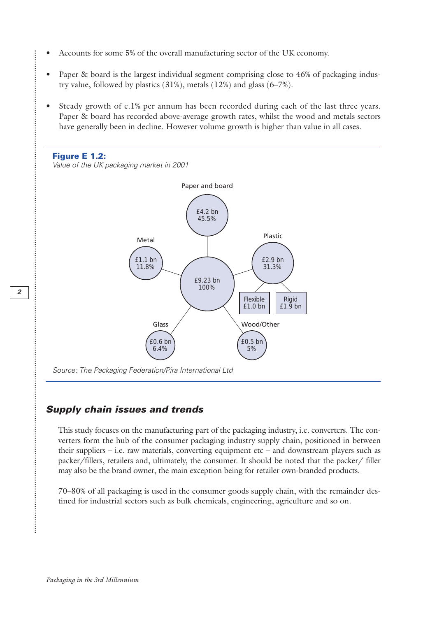- Accounts for some 5% of the overall manufacturing sector of the UK economy.
- Paper & board is the largest individual segment comprising close to 46% of packaging industry value, followed by plastics (31%), metals (12%) and glass (6–7%).
- Steady growth of c.1% per annum has been recorded during each of the last three years. Paper & board has recorded above-average growth rates, whilst the wood and metals sectors have generally been in decline. However volume growth is higher than value in all cases.



#### *Supply chain issues and trends*

This study focuses on the manufacturing part of the packaging industry, i.e. converters. The converters form the hub of the consumer packaging industry supply chain, positioned in between their suppliers  $-$  i.e. raw materials, converting equipment etc  $-$  and downstream players such as packer/fillers, retailers and, ultimately, the consumer. It should be noted that the packer/ filler may also be the brand owner, the main exception being for retailer own-branded products.

70–80% of all packaging is used in the consumer goods supply chain, with the remainder destined for industrial sectors such as bulk chemicals, engineering, agriculture and so on.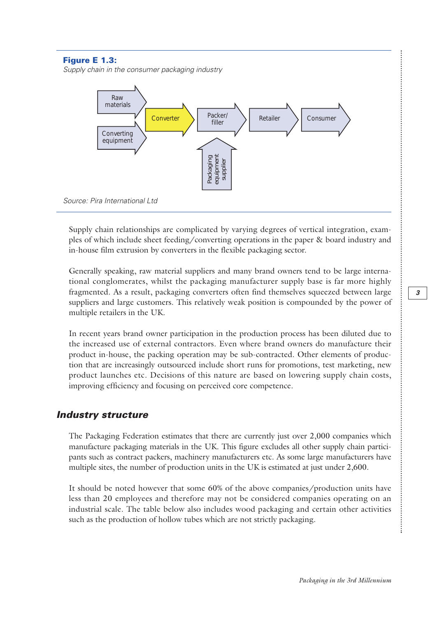#### **Figure E 1.3:**

*Supply chain in the consumer packaging industry*



Supply chain relationships are complicated by varying degrees of vertical integration, examples of which include sheet feeding/converting operations in the paper & board industry and in-house film extrusion by converters in the flexible packaging sector.

Generally speaking, raw material suppliers and many brand owners tend to be large international conglomerates, whilst the packaging manufacturer supply base is far more highly fragmented. As a result, packaging converters often find themselves squeezed between large suppliers and large customers. This relatively weak position is compounded by the power of multiple retailers in the UK.

In recent years brand owner participation in the production process has been diluted due to the increased use of external contractors. Even where brand owners do manufacture their product in-house, the packing operation may be sub-contracted. Other elements of production that are increasingly outsourced include short runs for promotions, test marketing, new product launches etc. Decisions of this nature are based on lowering supply chain costs, improving efficiency and focusing on perceived core competence.

#### *Industry structure*

The Packaging Federation estimates that there are currently just over 2,000 companies which manufacture packaging materials in the UK. This figure excludes all other supply chain participants such as contract packers, machinery manufacturers etc. As some large manufacturers have multiple sites, the number of production units in the UK is estimated at just under 2,600.

It should be noted however that some 60% of the above companies/production units have less than 20 employees and therefore may not be considered companies operating on an industrial scale. The table below also includes wood packaging and certain other activities such as the production of hollow tubes which are not strictly packaging.

 $\vdots$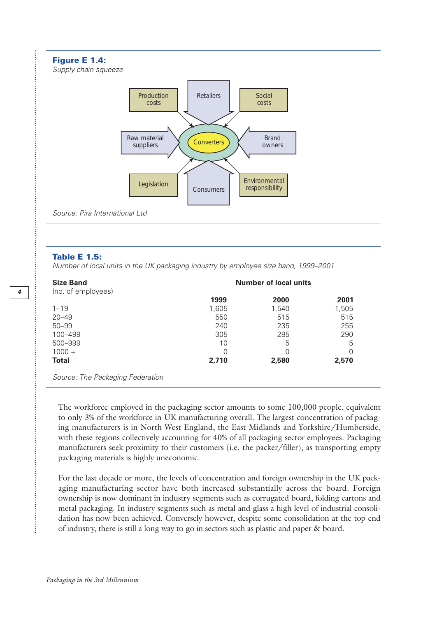#### **Figure E 1.4:**

*Supply chain squeeze*



**Table E 1.5:**

*Number of local units in the UK packaging industry by employee size band, 1999–2001*

| <b>Size Band</b>                 | <b>Number of local units</b> |       |       |  |  |
|----------------------------------|------------------------------|-------|-------|--|--|
| (no. of employees)               |                              |       |       |  |  |
|                                  | 1999                         | 2000  | 2001  |  |  |
| $1 - 19$                         | 1,605                        | 1,540 | 1,505 |  |  |
| $20 - 49$                        | 550                          | 515   | 515   |  |  |
| $50 - 99$                        | 240                          | 235   | 255   |  |  |
| 100-499                          | 305                          | 285   | 290   |  |  |
| 500-999                          | 10                           | 5     | 5     |  |  |
| $1000 +$                         |                              | 0     | 0     |  |  |
| <b>Total</b>                     | 2,710                        | 2,580 | 2,570 |  |  |
| Source: The Packaging Federation |                              |       |       |  |  |

The workforce employed in the packaging sector amounts to some 100,000 people, equivalent to only 3% of the workforce in UK manufacturing overall. The largest concentration of packaging manufacturers is in North West England, the East Midlands and Yorkshire/Humberside, with these regions collectively accounting for 40% of all packaging sector employees. Packaging manufacturers seek proximity to their customers (i.e. the packer/filler), as transporting empty packaging materials is highly uneconomic.

For the last decade or more, the levels of concentration and foreign ownership in the UK packaging manufacturing sector have both increased substantially across the board. Foreign ownership is now dominant in industry segments such as corrugated board, folding cartons and metal packaging. In industry segments such as metal and glass a high level of industrial consolidation has now been achieved. Conversely however, despite some consolidation at the top end of industry, there is still a long way to go in sectors such as plastic and paper & board.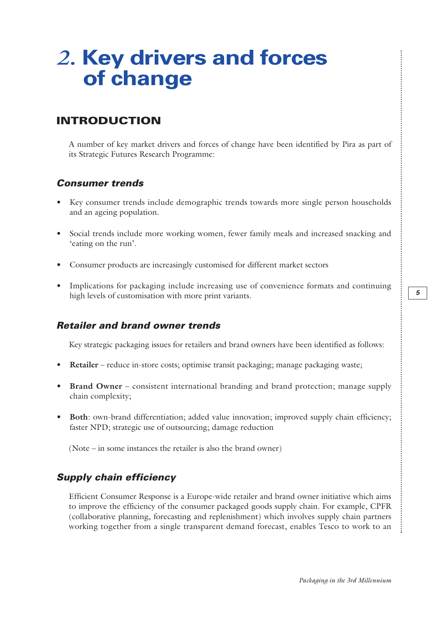## *2.* **Key drivers and forces of change**

### **INTRODUCTION**

A number of key market drivers and forces of change have been identified by Pira as part of its Strategic Futures Research Programme:

#### *Consumer trends*

- Key consumer trends include demographic trends towards more single person households and an ageing population.
- Social trends include more working women, fewer family meals and increased snacking and 'eating on the run'.
- Consumer products are increasingly customised for different market sectors
- Implications for packaging include increasing use of convenience formats and continuing high levels of customisation with more print variants.

#### *Retailer and brand owner trends*

Key strategic packaging issues for retailers and brand owners have been identified as follows:

- **Retailer** reduce in-store costs; optimise transit packaging; manage packaging waste;
- **Brand Owner** consistent international branding and brand protection; manage supply chain complexity;
- **Both**: own-brand differentiation; added value innovation; improved supply chain efficiency; faster NPD; strategic use of outsourcing; damage reduction

(Note – in some instances the retailer is also the brand owner)

#### *Supply chain efficiency*

Efficient Consumer Response is a Europe-wide retailer and brand owner initiative which aims to improve the efficiency of the consumer packaged goods supply chain. For example, CPFR (collaborative planning, forecasting and replenishment) which involves supply chain partners working together from a single transparent demand forecast, enables Tesco to work to an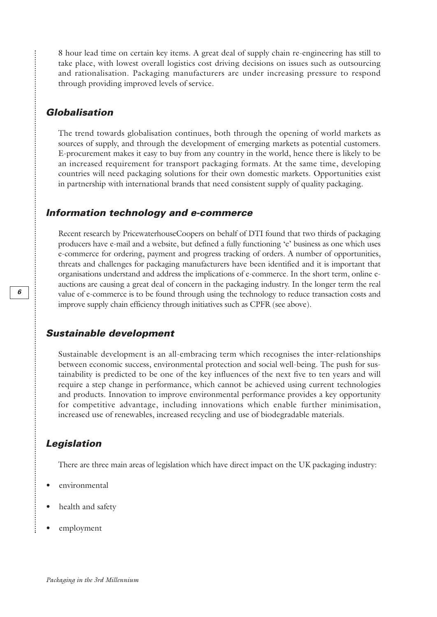8 hour lead time on certain key items. A great deal of supply chain re-engineering has still to take place, with lowest overall logistics cost driving decisions on issues such as outsourcing and rationalisation. Packaging manufacturers are under increasing pressure to respond through providing improved levels of service.

#### *Globalisation*

**\*\*\*\*\*\*\*\*\*\*\*\*\*\*\*\*\*\*** 

The trend towards globalisation continues, both through the opening of world markets as sources of supply, and through the development of emerging markets as potential customers. E-procurement makes it easy to buy from any country in the world, hence there is likely to be an increased requirement for transport packaging formats. At the same time, developing countries will need packaging solutions for their own domestic markets. Opportunities exist in partnership with international brands that need consistent supply of quality packaging.

#### *Information technology and e-commerce*

Recent research by PricewaterhouseCoopers on behalf of DTI found that two thirds of packaging producers have e-mail and a website, but defined a fully functioning 'e' business as one which uses e-commerce for ordering, payment and progress tracking of orders. A number of opportunities, threats and challenges for packaging manufacturers have been identified and it is important that organisations understand and address the implications of e-commerce. In the short term, online eauctions are causing a great deal of concern in the packaging industry. In the longer term the real value of e-commerce is to be found through using the technology to reduce transaction costs and improve supply chain efficiency through initiatives such as CPFR (see above).

#### *Sustainable development*

Sustainable development is an all-embracing term which recognises the inter-relationships between economic success, environmental protection and social well-being. The push for sustainability is predicted to be one of the key influences of the next five to ten years and will require a step change in performance, which cannot be achieved using current technologies and products. Innovation to improve environmental performance provides a key opportunity for competitive advantage, including innovations which enable further minimisation, increased use of renewables, increased recycling and use of biodegradable materials.

#### *Legislation*

There are three main areas of legislation which have direct impact on the UK packaging industry:

- environmental
- health and safety
- employment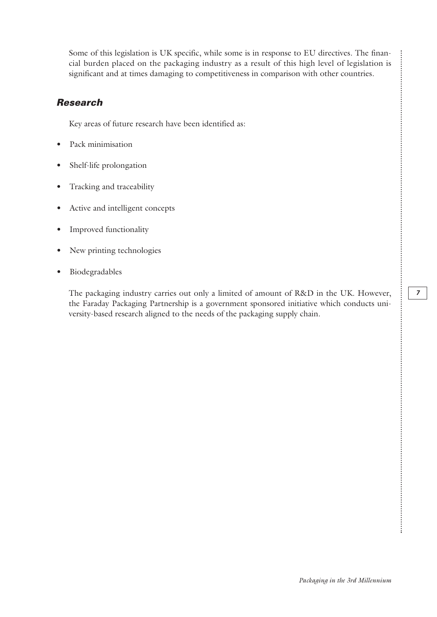Some of this legislation is UK specific, while some is in response to EU directives. The financial burden placed on the packaging industry as a result of this high level of legislation is significant and at times damaging to competitiveness in comparison with other countries.

#### *Research*

Key areas of future research have been identified as:

- Pack minimisation
- Shelf-life prolongation
- Tracking and traceability
- Active and intelligent concepts
- Improved functionality
- New printing technologies
- Biodegradables

The packaging industry carries out only a limited of amount of R&D in the UK. However, the Faraday Packaging Partnership is a government sponsored initiative which conducts university-based research aligned to the needs of the packaging supply chain.

...........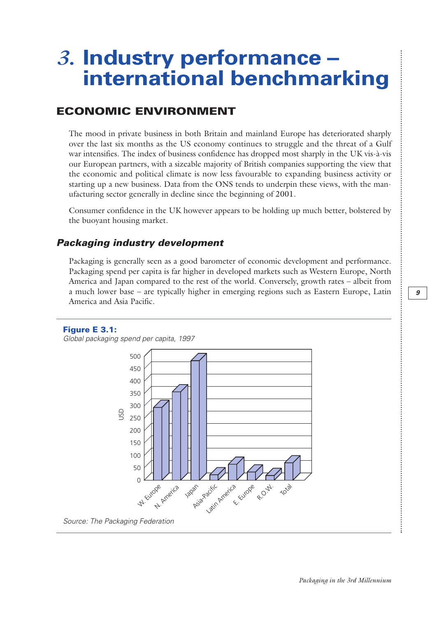### *3.* **Industry performance – international benchmarking**

### **ECONOMIC ENVIRONMENT**

The mood in private business in both Britain and mainland Europe has deteriorated sharply over the last six months as the US economy continues to struggle and the threat of a Gulf war intensifies. The index of business confidence has dropped most sharply in the UK vis-à-vis our European partners, with a sizeable majority of British companies supporting the view that the economic and political climate is now less favourable to expanding business activity or starting up a new business. Data from the ONS tends to underpin these views, with the manufacturing sector generally in decline since the beginning of 2001.

Consumer confidence in the UK however appears to be holding up much better, bolstered by the buoyant housing market.

#### *Packaging industry development*

Packaging is generally seen as a good barometer of economic development and performance. Packaging spend per capita is far higher in developed markets such as Western Europe, North America and Japan compared to the rest of the world. Conversely, growth rates – albeit from a much lower base – are typically higher in emerging regions such as Eastern Europe, Latin America and Asia Pacific.

#### **Figure E 3.1:**

*Global packaging spend per capita, 1997*



*Source: The Packaging Federation*

 $\vdots$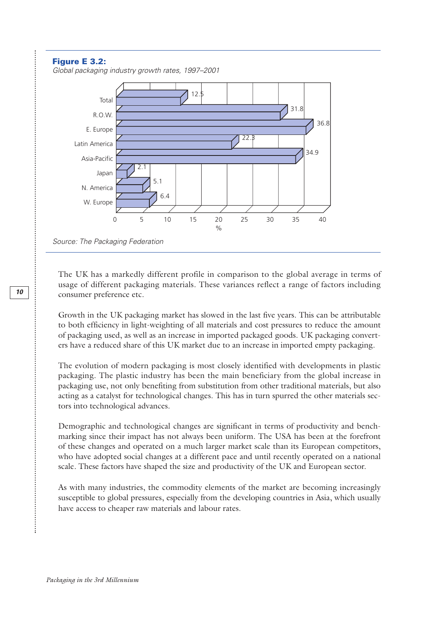#### **Figure E 3.2:**

........................

*Global packaging industry growth rates, 1997–2001*



The UK has a markedly different profile in comparison to the global average in terms of usage of different packaging materials. These variances reflect a range of factors including consumer preference etc.

Growth in the UK packaging market has slowed in the last five years. This can be attributable to both efficiency in light-weighting of all materials and cost pressures to reduce the amount of packaging used, as well as an increase in imported packaged goods. UK packaging converters have a reduced share of this UK market due to an increase in imported empty packaging.

The evolution of modern packaging is most closely identified with developments in plastic packaging. The plastic industry has been the main beneficiary from the global increase in packaging use, not only benefiting from substitution from other traditional materials, but also acting as a catalyst for technological changes. This has in turn spurred the other materials sectors into technological advances.

Demographic and technological changes are significant in terms of productivity and benchmarking since their impact has not always been uniform. The USA has been at the forefront of these changes and operated on a much larger market scale than its European competitors, who have adopted social changes at a different pace and until recently operated on a national scale. These factors have shaped the size and productivity of the UK and European sector.

As with many industries, the commodity elements of the market are becoming increasingly susceptible to global pressures, especially from the developing countries in Asia, which usually have access to cheaper raw materials and labour rates.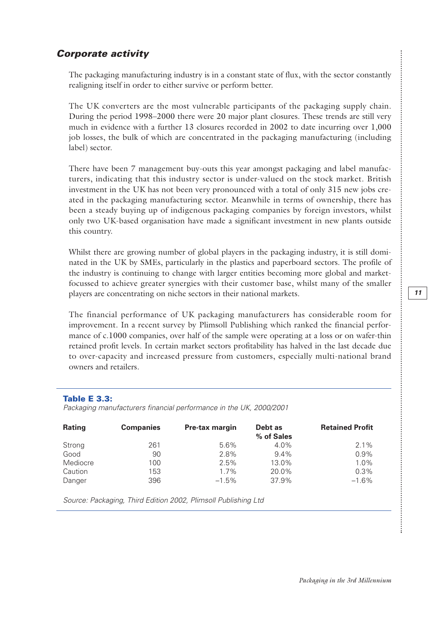...........

#### *Corporate activity*

The packaging manufacturing industry is in a constant state of flux, with the sector constantly realigning itself in order to either survive or perform better.

The UK converters are the most vulnerable participants of the packaging supply chain. During the period 1998–2000 there were 20 major plant closures. These trends are still very much in evidence with a further 13 closures recorded in 2002 to date incurring over 1,000 job losses, the bulk of which are concentrated in the packaging manufacturing (including label) sector.

There have been 7 management buy-outs this year amongst packaging and label manufacturers, indicating that this industry sector is under-valued on the stock market. British investment in the UK has not been very pronounced with a total of only 315 new jobs created in the packaging manufacturing sector. Meanwhile in terms of ownership, there has been a steady buying up of indigenous packaging companies by foreign investors, whilst only two UK-based organisation have made a significant investment in new plants outside this country.

Whilst there are growing number of global players in the packaging industry, it is still dominated in the UK by SMEs, particularly in the plastics and paperboard sectors. The profile of the industry is continuing to change with larger entities becoming more global and marketfocussed to achieve greater synergies with their customer base, whilst many of the smaller players are concentrating on niche sectors in their national markets.

The financial performance of UK packaging manufacturers has considerable room for improvement. In a recent survey by Plimsoll Publishing which ranked the financial performance of c.1000 companies, over half of the sample were operating at a loss or on wafer-thin retained profit levels. In certain market sectors profitability has halved in the last decade due to over-capacity and increased pressure from customers, especially multi-national brand owners and retailers.

#### **Table E 3.3:**

*Packaging manufacturers financial performance in the UK, 2000/2001*

| <b>Rating</b> | <b>Companies</b> | <b>Pre-tax margin</b> | Debt as<br>% of Sales | <b>Retained Profit</b> |
|---------------|------------------|-----------------------|-----------------------|------------------------|
| Strong        | 261              | 5.6%                  | $4.0\%$               | $2.1\%$                |
| Good          | 90               | 2.8%                  | $9.4\%$               | $0.9\%$                |
| Mediocre      | 100              | 2.5%                  | 13.0%                 | 1.0%                   |
| Caution       | 153              | $1.7\%$               | 20.0%                 | 0.3%                   |
| Danger        | 396              | $-1.5%$               | 37.9%                 | $-1.6%$                |

*Source: Packaging, Third Edition 2002, Plimsoll Publishing Ltd*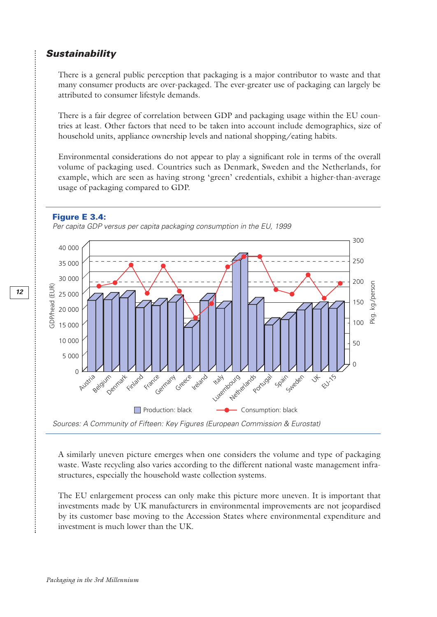#### *Sustainability*

There is a general public perception that packaging is a major contributor to waste and that many consumer products are over-packaged. The ever-greater use of packaging can largely be attributed to consumer lifestyle demands.

There is a fair degree of correlation between GDP and packaging usage within the EU countries at least. Other factors that need to be taken into account include demographics, size of household units, appliance ownership levels and national shopping/eating habits.

Environmental considerations do not appear to play a significant role in terms of the overall volume of packaging used. Countries such as Denmark, Sweden and the Netherlands, for example, which are seen as having strong 'green' credentials, exhibit a higher-than-average usage of packaging compared to GDP.



*Per capita GDP versus per capita packaging consumption in the EU, 1999*



A similarly uneven picture emerges when one considers the volume and type of packaging waste. Waste recycling also varies according to the different national waste management infrastructures, especially the household waste collection systems.

The EU enlargement process can only make this picture more uneven. It is important that investments made by UK manufacturers in environmental improvements are not jeopardised by its customer base moving to the Accession States where environmental expenditure and investment is much lower than the UK.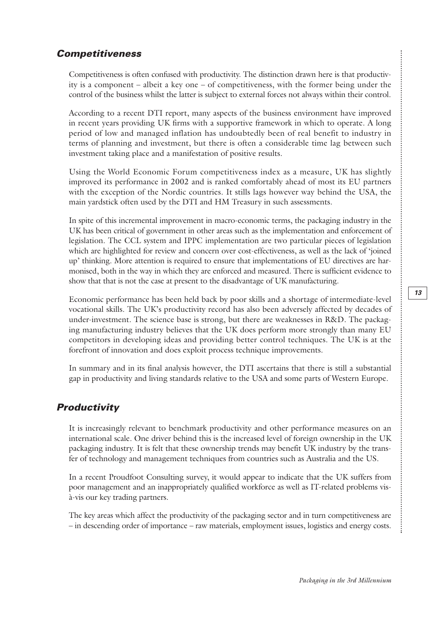#### *Competitiveness*

Competitiveness is often confused with productivity. The distinction drawn here is that productivity is a component – albeit a key one – of competitiveness, with the former being under the control of the business whilst the latter is subject to external forces not always within their control.

According to a recent DTI report, many aspects of the business environment have improved in recent years providing UK firms with a supportive framework in which to operate. A long period of low and managed inflation has undoubtedly been of real benefit to industry in terms of planning and investment, but there is often a considerable time lag between such investment taking place and a manifestation of positive results.

Using the World Economic Forum competitiveness index as a measure, UK has slightly improved its performance in 2002 and is ranked comfortably ahead of most its EU partners with the exception of the Nordic countries. It stills lags however way behind the USA, the main yardstick often used by the DTI and HM Treasury in such assessments.

In spite of this incremental improvement in macro-economic terms, the packaging industry in the UK has been critical of government in other areas such as the implementation and enforcement of legislation. The CCL system and IPPC implementation are two particular pieces of legislation which are highlighted for review and concern over cost-effectiveness, as well as the lack of 'joined up' thinking. More attention is required to ensure that implementations of EU directives are harmonised, both in the way in which they are enforced and measured. There is sufficient evidence to show that that is not the case at present to the disadvantage of UK manufacturing.

Economic performance has been held back by poor skills and a shortage of intermediate-level vocational skills. The UK's productivity record has also been adversely affected by decades of under-investment. The science base is strong, but there are weaknesses in R&D. The packaging manufacturing industry believes that the UK does perform more strongly than many EU competitors in developing ideas and providing better control techniques. The UK is at the forefront of innovation and does exploit process technique improvements.

In summary and in its final analysis however, the DTI ascertains that there is still a substantial gap in productivity and living standards relative to the USA and some parts of Western Europe.

#### *Productivity*

It is increasingly relevant to benchmark productivity and other performance measures on an international scale. One driver behind this is the increased level of foreign ownership in the UK packaging industry. It is felt that these ownership trends may benefit UK industry by the transfer of technology and management techniques from countries such as Australia and the US.

In a recent Proudfoot Consulting survey, it would appear to indicate that the UK suffers from poor management and an inappropriately qualified workforce as well as IT-related problems visà-vis our key trading partners.

The key areas which affect the productivity of the packaging sector and in turn competitiveness are – in descending order of importance – raw materials, employment issues, logistics and energy costs.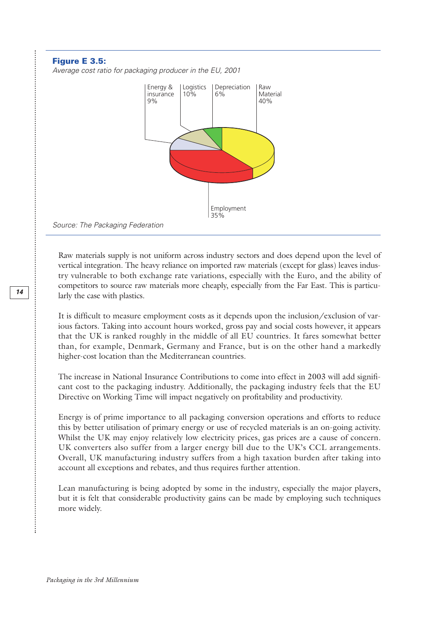#### **Figure E 3.5:**

*Average cost ratio for packaging producer in the EU, 2001*



*Source: The Packaging Federation*

Raw materials supply is not uniform across industry sectors and does depend upon the level of vertical integration. The heavy reliance on imported raw materials (except for glass) leaves industry vulnerable to both exchange rate variations, especially with the Euro, and the ability of competitors to source raw materials more cheaply, especially from the Far East. This is particularly the case with plastics.

It is difficult to measure employment costs as it depends upon the inclusion/exclusion of various factors. Taking into account hours worked, gross pay and social costs however, it appears that the UK is ranked roughly in the middle of all EU countries. It fares somewhat better than, for example, Denmark, Germany and France, but is on the other hand a markedly higher-cost location than the Mediterranean countries.

The increase in National Insurance Contributions to come into effect in 2003 will add significant cost to the packaging industry. Additionally, the packaging industry feels that the EU Directive on Working Time will impact negatively on profitability and productivity.

Energy is of prime importance to all packaging conversion operations and efforts to reduce this by better utilisation of primary energy or use of recycled materials is an on-going activity. Whilst the UK may enjoy relatively low electricity prices, gas prices are a cause of concern. UK converters also suffer from a larger energy bill due to the UK's CCL arrangements. Overall, UK manufacturing industry suffers from a high taxation burden after taking into account all exceptions and rebates, and thus requires further attention.

Lean manufacturing is being adopted by some in the industry, especially the major players, but it is felt that considerable productivity gains can be made by employing such techniques more widely.

.<br>.<br>.<br>.<br>.<br>.<br>.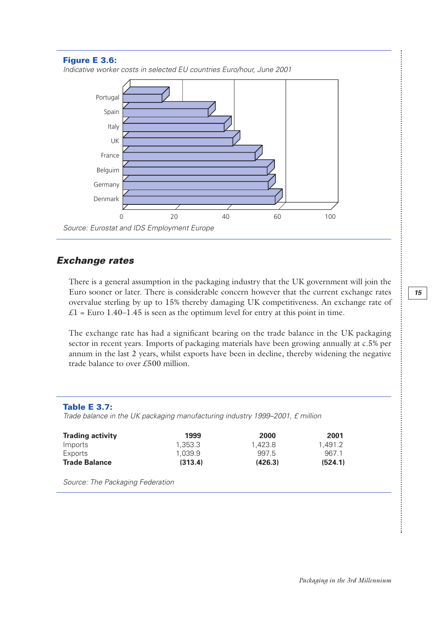

#### *Exchange rates*

There is a general assumption in the packaging industry that the UK government will join the Euro sooner or later. There is considerable concern however that the current exchange rates overvalue sterling by up to 15% thereby damaging UK competitiveness. An exchange rate of  $\mathcal{L}$ 1 = Euro 1.40–1.45 is seen as the optimum level for entry at this point in time.

The exchange rate has had a significant bearing on the trade balance in the UK packaging sector in recent years. Imports of packaging materials have been growing annually at c.5% per annum in the last 2 years, whilst exports have been in decline, thereby widening the negative trade balance to over £500 million.

#### **Table E 3.7:**

*Trade balance in the UK packaging manufacturing industry 1999–2001, £ million*

| <b>Trading activity</b> | 1999    | 2000    | 2001    |
|-------------------------|---------|---------|---------|
| Imports                 | 1.353.3 | 1.423.8 | 1.491.2 |
| Exports                 | 1.039.9 | 997.5   | 9671    |
| <b>Trade Balance</b>    | (313.4) | (426.3) | (524.1) |

*Source: The Packaging Federation*

.........

..............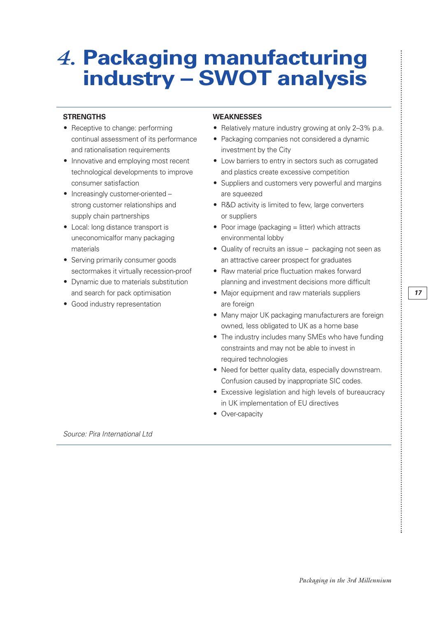## *4.* **Packaging manufacturing industry – SWOT analysis**

- and rationalisation requirements investment by the City
- 
- Increasingly customer-oriented are squeezed supply chain partnerships suppliers or suppliers
- uneconomicalfor many packaging environmental lobby
- 
- 
- Good industry representation are foreign

#### **STRENGTHS WEAKNESSES**

- Receptive to change: performing Relatively mature industry growing at only 2-3% p.a.
	- continual assessment of its performance Packaging companies not considered a dynamic
- Innovative and employing most recent Low barriers to entry in sectors such as corrugated technological developments to improve and plastics create excessive competition
	- consumer satisfaction **•** Suppliers and customers very powerful and margins
	- strong customer relationships and R&D activity is limited to few, large converters
- Local: long distance transport is Poor image (packaging = litter) which attracts
- materials  **Quality of recruits an issue packaging not seen as** • Serving primarily consumer goods an attractive career prospect for graduates
- sectormakes it virtually recession-proof Raw material price fluctuation makes forward • Dynamic due to materials substitution planning and investment decisions more difficult
	- and search for pack optimisation Major equipment and raw materials suppliers
		- Many major UK packaging manufacturers are foreign owned, less obligated to UK as a home base
		- The industry includes many SMEs who have funding constraints and may not be able to invest in required technologies
		- Need for better quality data, especially downstream. Confusion caused by inappropriate SIC codes.
		- Excessive legislation and high levels of bureaucracy in UK implementation of EU directives
		- Over-capacity

*Source: Pira International Ltd*

 $\vdots$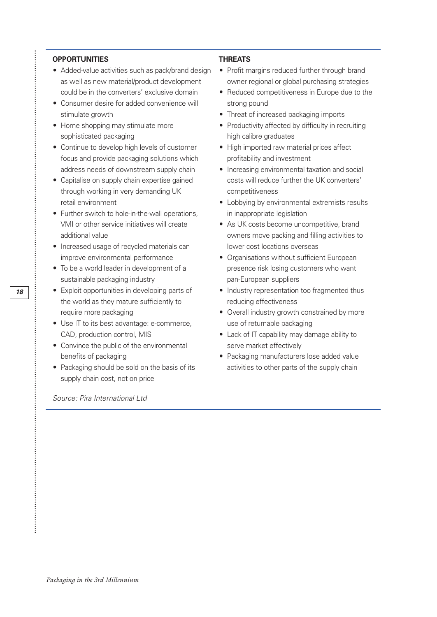#### **OPPORTUNITIES THREATS**

- Added-value activities such as pack/brand design Profit margins reduced further through brand as well as new material/product development owner regional or global purchasing strategies
- Consumer desire for added convenience will strong pound stimulate growth **•** Threat of increased packaging imports
- sophisticated packaging high calibre graduates
- Continue to develop high levels of customer High imported raw material prices affect focus and provide packaging solutions which profitability and investment
- through working in very demanding UK competitiveness
- Further switch to hole-in-the-wall operations, in inappropriate legislation VMI or other service initiatives will create • As UK costs become uncompetitive, brand
- Increased usage of recycled materials can lower cost locations overseas improve environmental performance • Crganisations without sufficient European
- sustainable packaging industry example the pan-European suppliers
- the world as they mature sufficiently to reducing effectiveness
- Use IT to its best advantage: e-commerce, use of returnable packaging
- Convince the public of the environmental serve market effectively
- Packaging should be sold on the basis of its activities to other parts of the supply chain supply chain cost, not on price

*Source: Pira International Ltd*

- 
- could be in the converters' exclusive domain Reduced competitiveness in Europe due to the
	-
- Home shopping may stimulate more Productivity affected by difficulty in recruiting
	-
- address needs of downstream supply chain Increasing environmental taxation and social • Capitalise on supply chain expertise gained costs will reduce further the UK converters'
	- retail environment **•** Lobbying by environmental extremists results
	- additional value owners move packing and filling activities to
- To be a world leader in development of a presence risk losing customers who want
- Exploit opportunities in developing parts of Industry representation too fragmented thus
	- require more packaging  **Overall industry growth constrained by more**
	- CAD, production control, MIS Lack of IT capability may damage ability to
	- benefits of packaging Packaging manufacturers lose added value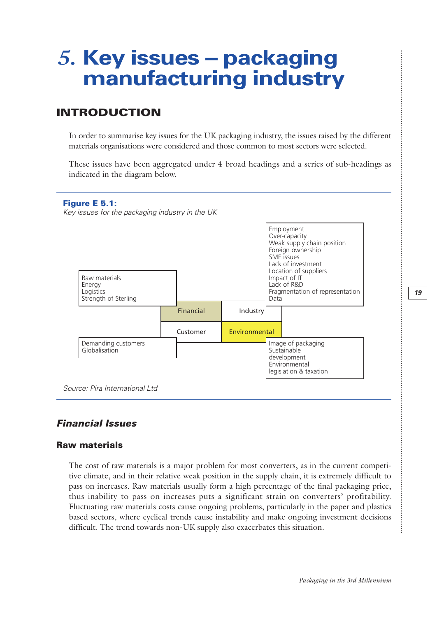## *5.* **Key issues – packaging manufacturing industry**

### **INTRODUCTION**

In order to summarise key issues for the UK packaging industry, the issues raised by the different materials organisations were considered and those common to most sectors were selected.

These issues have been aggregated under 4 broad headings and a series of sub-headings as indicated in the diagram below.



#### *Financial Issues*

#### **Raw materials**

The cost of raw materials is a major problem for most converters, as in the current competitive climate, and in their relative weak position in the supply chain, it is extremely difficult to pass on increases. Raw materials usually form a high percentage of the final packaging price, thus inability to pass on increases puts a significant strain on converters' profitability. Fluctuating raw materials costs cause ongoing problems, particularly in the paper and plastics based sectors, where cyclical trends cause instability and make ongoing investment decisions difficult. The trend towards non-UK supply also exacerbates this situation.

፡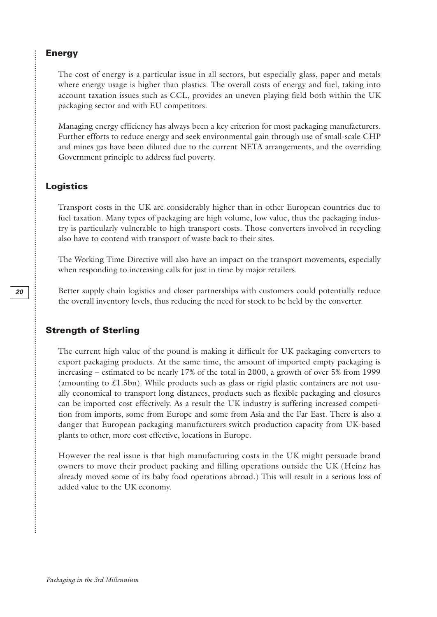#### **Energy**

The cost of energy is a particular issue in all sectors, but especially glass, paper and metals where energy usage is higher than plastics. The overall costs of energy and fuel, taking into account taxation issues such as CCL, provides an uneven playing field both within the UK packaging sector and with EU competitors.

Managing energy efficiency has always been a key criterion for most packaging manufacturers. Further efforts to reduce energy and seek environmental gain through use of small-scale CHP and mines gas have been diluted due to the current NETA arrangements, and the overriding Government principle to address fuel poverty.

#### **Logistics**

Transport costs in the UK are considerably higher than in other European countries due to fuel taxation. Many types of packaging are high volume, low value, thus the packaging industry is particularly vulnerable to high transport costs. Those converters involved in recycling also have to contend with transport of waste back to their sites.

The Working Time Directive will also have an impact on the transport movements, especially when responding to increasing calls for just in time by major retailers.

Better supply chain logistics and closer partnerships with customers could potentially reduce the overall inventory levels, thus reducing the need for stock to be held by the converter.

#### **Strength of Sterling**

The current high value of the pound is making it difficult for UK packaging converters to export packaging products. At the same time, the amount of imported empty packaging is increasing – estimated to be nearly 17% of the total in 2000, a growth of over 5% from 1999 (amounting to  $\pounds$ 1.5bn). While products such as glass or rigid plastic containers are not usually economical to transport long distances, products such as flexible packaging and closures can be imported cost effectively. As a result the UK industry is suffering increased competition from imports, some from Europe and some from Asia and the Far East. There is also a danger that European packaging manufacturers switch production capacity from UK-based plants to other, more cost effective, locations in Europe.

However the real issue is that high manufacturing costs in the UK might persuade brand owners to move their product packing and filling operations outside the UK (Heinz has already moved some of its baby food operations abroad.) This will result in a serious loss of added value to the UK economy.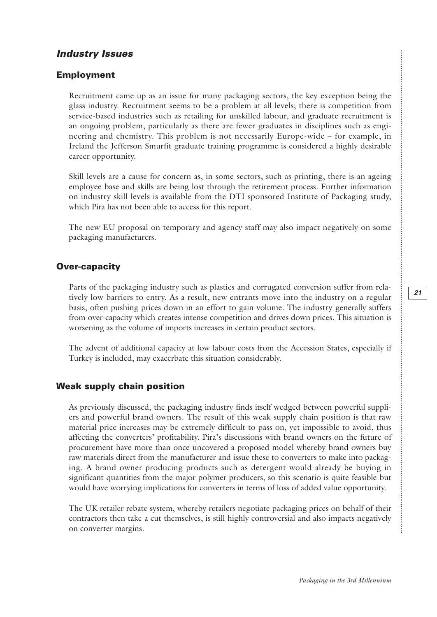#### *Industry Issues*

#### **Employment**

Recruitment came up as an issue for many packaging sectors, the key exception being the glass industry. Recruitment seems to be a problem at all levels; there is competition from service-based industries such as retailing for unskilled labour, and graduate recruitment is an ongoing problem, particularly as there are fewer graduates in disciplines such as engineering and chemistry. This problem is not necessarily Europe-wide – for example, in Ireland the Jefferson Smurfit graduate training programme is considered a highly desirable career opportunity.

Skill levels are a cause for concern as, in some sectors, such as printing, there is an ageing employee base and skills are being lost through the retirement process. Further information on industry skill levels is available from the DTI sponsored Institute of Packaging study, which Pira has not been able to access for this report.

The new EU proposal on temporary and agency staff may also impact negatively on some packaging manufacturers.

#### **Over-capacity**

Parts of the packaging industry such as plastics and corrugated conversion suffer from relatively low barriers to entry. As a result, new entrants move into the industry on a regular basis, often pushing prices down in an effort to gain volume. The industry generally suffers from over-capacity which creates intense competition and drives down prices. This situation is worsening as the volume of imports increases in certain product sectors.

The advent of additional capacity at low labour costs from the Accession States, especially if Turkey is included, may exacerbate this situation considerably.

#### **Weak supply chain position**

As previously discussed, the packaging industry finds itself wedged between powerful suppliers and powerful brand owners. The result of this weak supply chain position is that raw material price increases may be extremely difficult to pass on, yet impossible to avoid, thus affecting the converters' profitability. Pira's discussions with brand owners on the future of procurement have more than once uncovered a proposed model whereby brand owners buy raw materials direct from the manufacturer and issue these to converters to make into packaging. A brand owner producing products such as detergent would already be buying in significant quantities from the major polymer producers, so this scenario is quite feasible but would have worrying implications for converters in terms of loss of added value opportunity.

The UK retailer rebate system, whereby retailers negotiate packaging prices on behalf of their contractors then take a cut themselves, is still highly controversial and also impacts negatively on converter margins.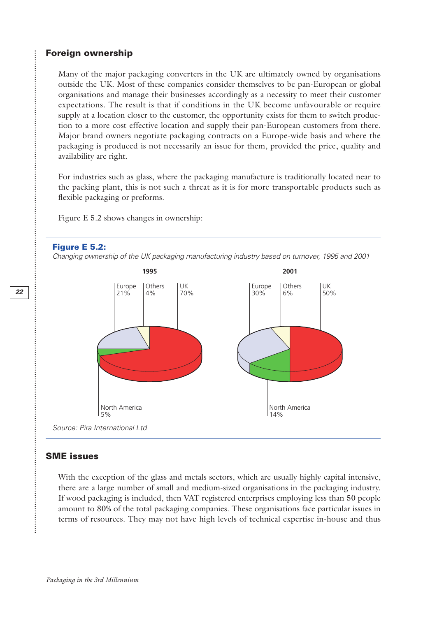#### **Foreign ownership**

Many of the major packaging converters in the UK are ultimately owned by organisations outside the UK. Most of these companies consider themselves to be pan-European or global organisations and manage their businesses accordingly as a necessity to meet their customer expectations. The result is that if conditions in the UK become unfavourable or require supply at a location closer to the customer, the opportunity exists for them to switch production to a more cost effective location and supply their pan-European customers from there. Major brand owners negotiate packaging contracts on a Europe-wide basis and where the packaging is produced is not necessarily an issue for them, provided the price, quality and availability are right.

For industries such as glass, where the packaging manufacture is traditionally located near to the packing plant, this is not such a threat as it is for more transportable products such as flexible packaging or preforms.

Figure E 5.2 shows changes in ownership:

#### **Figure E 5.2:**

*Changing ownership of the UK packaging manufacturing industry based on turnover, 1995 and 2001*



#### *Source: Pira International Ltd*

#### **SME issues**

............................

With the exception of the glass and metals sectors, which are usually highly capital intensive, there are a large number of small and medium-sized organisations in the packaging industry. If wood packaging is included, then VAT registered enterprises employing less than 50 people amount to 80% of the total packaging companies. These organisations face particular issues in terms of resources. They may not have high levels of technical expertise in-house and thus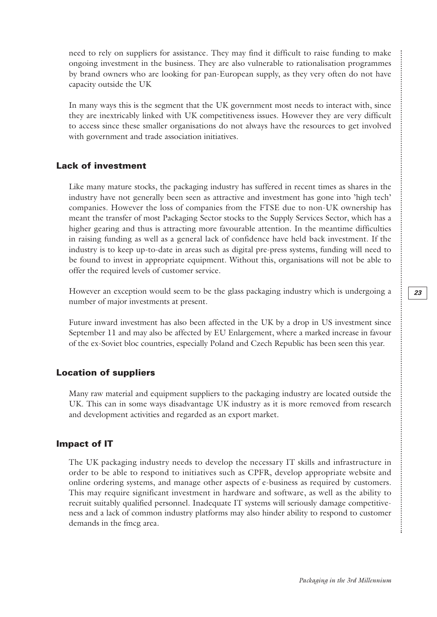ongoing investment in the business. They are also vulnerable to rationalisation programmes by brand owners who are looking for pan-European supply, as they very often do not have capacity outside the UK

need to rely on suppliers for assistance. They may find it difficult to raise funding to make

In many ways this is the segment that the UK government most needs to interact with, since they are inextricably linked with UK competitiveness issues. However they are very difficult to access since these smaller organisations do not always have the resources to get involved with government and trade association initiatives.

#### **Lack of investment**

Like many mature stocks, the packaging industry has suffered in recent times as shares in the industry have not generally been seen as attractive and investment has gone into 'high tech' companies. However the loss of companies from the FTSE due to non-UK ownership has meant the transfer of most Packaging Sector stocks to the Supply Services Sector, which has a higher gearing and thus is attracting more favourable attention. In the meantime difficulties in raising funding as well as a general lack of confidence have held back investment. If the industry is to keep up-to-date in areas such as digital pre-press systems, funding will need to be found to invest in appropriate equipment. Without this, organisations will not be able to offer the required levels of customer service.

However an exception would seem to be the glass packaging industry which is undergoing a number of major investments at present.

Future inward investment has also been affected in the UK by a drop in US investment since September 11 and may also be affected by EU Enlargement, where a marked increase in favour of the ex-Soviet bloc countries, especially Poland and Czech Republic has been seen this year.

#### **Location of suppliers**

Many raw material and equipment suppliers to the packaging industry are located outside the UK. This can in some ways disadvantage UK industry as it is more removed from research and development activities and regarded as an export market.

#### **Impact of IT**

The UK packaging industry needs to develop the necessary IT skills and infrastructure in order to be able to respond to initiatives such as CPFR, develop appropriate website and online ordering systems, and manage other aspects of e-business as required by customers. This may require significant investment in hardware and software, as well as the ability to recruit suitably qualified personnel. Inadequate IT systems will seriously damage competitiveness and a lack of common industry platforms may also hinder ability to respond to customer demands in the fmcg area.

 $\vdots$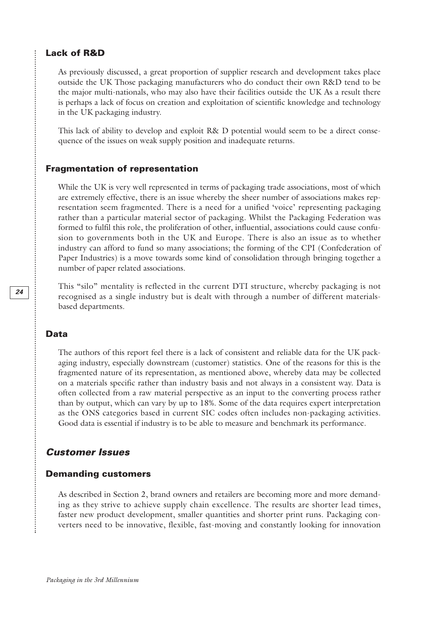#### **Lack of R&D**

As previously discussed, a great proportion of supplier research and development takes place outside the UK Those packaging manufacturers who do conduct their own R&D tend to be the major multi-nationals, who may also have their facilities outside the UK As a result there is perhaps a lack of focus on creation and exploitation of scientific knowledge and technology in the UK packaging industry.

This lack of ability to develop and exploit R& D potential would seem to be a direct consequence of the issues on weak supply position and inadequate returns.

#### **Fragmentation of representation**

While the UK is very well represented in terms of packaging trade associations, most of which are extremely effective, there is an issue whereby the sheer number of associations makes representation seem fragmented. There is a need for a unified 'voice' representing packaging rather than a particular material sector of packaging. Whilst the Packaging Federation was formed to fulfil this role, the proliferation of other, influential, associations could cause confusion to governments both in the UK and Europe. There is also an issue as to whether industry can afford to fund so many associations; the forming of the CPI (Confederation of Paper Industries) is a move towards some kind of consolidation through bringing together a number of paper related associations.

This "silo" mentality is reflected in the current DTI structure, whereby packaging is not recognised as a single industry but is dealt with through a number of different materialsbased departments.

#### **Data**

The authors of this report feel there is a lack of consistent and reliable data for the UK packaging industry, especially downstream (customer) statistics. One of the reasons for this is the fragmented nature of its representation, as mentioned above, whereby data may be collected on a materials specific rather than industry basis and not always in a consistent way. Data is often collected from a raw material perspective as an input to the converting process rather than by output, which can vary by up to 18%. Some of the data requires expert interpretation as the ONS categories based in current SIC codes often includes non-packaging activities. Good data is essential if industry is to be able to measure and benchmark its performance.

#### *Customer Issues*

#### **Demanding customers**

As described in Section 2, brand owners and retailers are becoming more and more demanding as they strive to achieve supply chain excellence. The results are shorter lead times, faster new product development, smaller quantities and shorter print runs. Packaging converters need to be innovative, flexible, fast-moving and constantly looking for innovation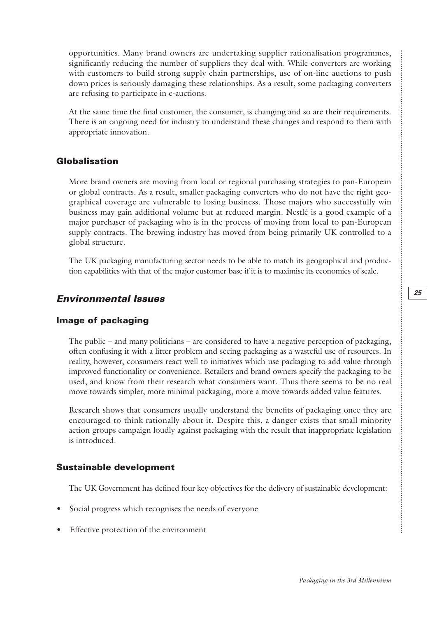opportunities. Many brand owners are undertaking supplier rationalisation programmes, significantly reducing the number of suppliers they deal with. While converters are working with customers to build strong supply chain partnerships, use of on-line auctions to push down prices is seriously damaging these relationships. As a result, some packaging converters are refusing to participate in e-auctions.

At the same time the final customer, the consumer, is changing and so are their requirements. There is an ongoing need for industry to understand these changes and respond to them with appropriate innovation.

#### **Globalisation**

More brand owners are moving from local or regional purchasing strategies to pan-European or global contracts. As a result, smaller packaging converters who do not have the right geographical coverage are vulnerable to losing business. Those majors who successfully win business may gain additional volume but at reduced margin. Nestlé is a good example of a major purchaser of packaging who is in the process of moving from local to pan-European supply contracts. The brewing industry has moved from being primarily UK controlled to a global structure.

The UK packaging manufacturing sector needs to be able to match its geographical and production capabilities with that of the major customer base if it is to maximise its economies of scale.

#### *Environmental Issues*

#### **Image of packaging**

The public – and many politicians – are considered to have a negative perception of packaging, often confusing it with a litter problem and seeing packaging as a wasteful use of resources. In reality, however, consumers react well to initiatives which use packaging to add value through improved functionality or convenience. Retailers and brand owners specify the packaging to be used, and know from their research what consumers want. Thus there seems to be no real move towards simpler, more minimal packaging, more a move towards added value features.

Research shows that consumers usually understand the benefits of packaging once they are encouraged to think rationally about it. Despite this, a danger exists that small minority action groups campaign loudly against packaging with the result that inappropriate legislation is introduced.

#### **Sustainable development**

The UK Government has defined four key objectives for the delivery of sustainable development:

- Social progress which recognises the needs of everyone
- Effective protection of the environment

.............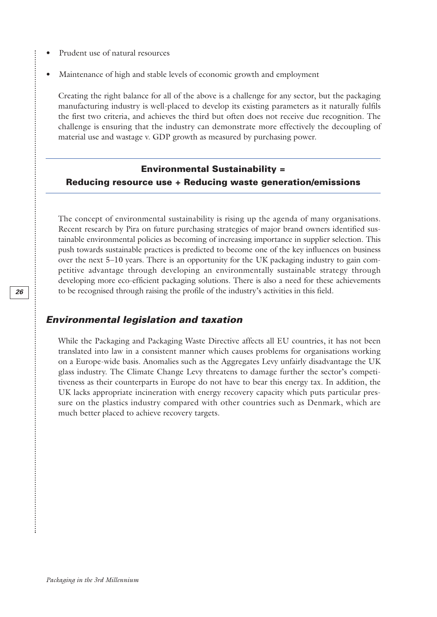- Prudent use of natural resources
- Maintenance of high and stable levels of economic growth and employment

Creating the right balance for all of the above is a challenge for any sector, but the packaging manufacturing industry is well-placed to develop its existing parameters as it naturally fulfils the first two criteria, and achieves the third but often does not receive due recognition. The challenge is ensuring that the industry can demonstrate more effectively the decoupling of material use and wastage v. GDP growth as measured by purchasing power.

#### **Environmental Sustainability = Reducing resource use + Reducing waste generation/emissions**

The concept of environmental sustainability is rising up the agenda of many organisations. Recent research by Pira on future purchasing strategies of major brand owners identified sustainable environmental policies as becoming of increasing importance in supplier selection. This push towards sustainable practices is predicted to become one of the key influences on business over the next 5–10 years. There is an opportunity for the UK packaging industry to gain competitive advantage through developing an environmentally sustainable strategy through developing more eco-efficient packaging solutions. There is also a need for these achievements to be recognised through raising the profile of the industry's activities in this field.

#### *Environmental legislation and taxation*

While the Packaging and Packaging Waste Directive affects all EU countries, it has not been translated into law in a consistent manner which causes problems for organisations working on a Europe-wide basis. Anomalies such as the Aggregates Levy unfairly disadvantage the UK glass industry. The Climate Change Levy threatens to damage further the sector's competitiveness as their counterparts in Europe do not have to bear this energy tax. In addition, the UK lacks appropriate incineration with energy recovery capacity which puts particular pressure on the plastics industry compared with other countries such as Denmark, which are much better placed to achieve recovery targets.

.<br>.<br>.<br>.<br>.<br>.<br>.<br>.

....................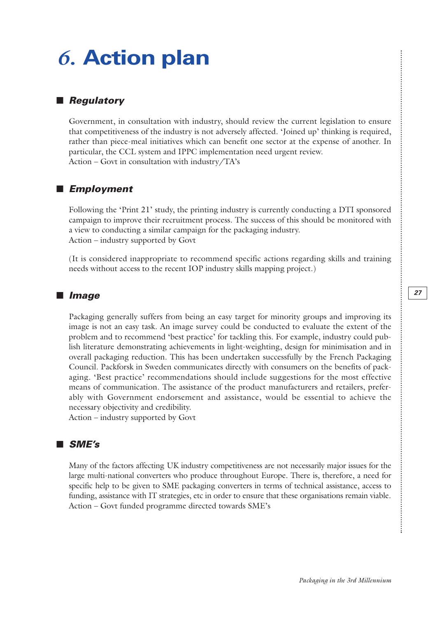## *6.* **Action plan**

#### ■ *Regulatory*

Government, in consultation with industry, should review the current legislation to ensure that competitiveness of the industry is not adversely affected. 'Joined up' thinking is required, rather than piece-meal initiatives which can benefit one sector at the expense of another. In particular, the CCL system and IPPC implementation need urgent review. Action – Govt in consultation with industry/TA's

#### ■ *Employment*

Following the 'Print 21' study, the printing industry is currently conducting a DTI sponsored campaign to improve their recruitment process. The success of this should be monitored with a view to conducting a similar campaign for the packaging industry. Action – industry supported by Govt

(It is considered inappropriate to recommend specific actions regarding skills and training needs without access to the recent IOP industry skills mapping project.)

#### ■ *Image*

Packaging generally suffers from being an easy target for minority groups and improving its image is not an easy task. An image survey could be conducted to evaluate the extent of the problem and to recommend 'best practice' for tackling this. For example, industry could publish literature demonstrating achievements in light-weighting, design for minimisation and in overall packaging reduction. This has been undertaken successfully by the French Packaging Council. Packforsk in Sweden communicates directly with consumers on the benefits of packaging. 'Best practice' recommendations should include suggestions for the most effective means of communication. The assistance of the product manufacturers and retailers, preferably with Government endorsement and assistance, would be essential to achieve the necessary objectivity and credibility.

Action – industry supported by Govt

#### ■ *SME's*

Many of the factors affecting UK industry competitiveness are not necessarily major issues for the large multi-national converters who produce throughout Europe. There is, therefore, a need for specific help to be given to SME packaging converters in terms of technical assistance, access to funding, assistance with IT strategies, etc in order to ensure that these organisations remain viable. Action – Govt funded programme directed towards SME's

........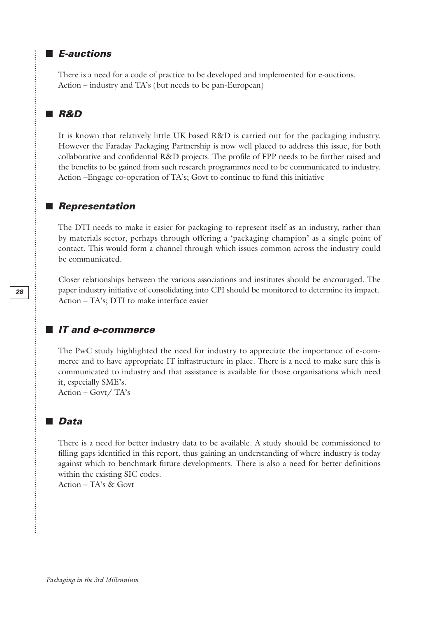#### ■ *E-auctions*

There is a need for a code of practice to be developed and implemented for e-auctions. Action – industry and TA's (but needs to be pan-European)

#### ■ *R&D*

It is known that relatively little UK based R&D is carried out for the packaging industry. However the Faraday Packaging Partnership is now well placed to address this issue, for both collaborative and confidential R&D projects. The profile of FPP needs to be further raised and the benefits to be gained from such research programmes need to be communicated to industry. Action –Engage co-operation of TA's; Govt to continue to fund this initiative

#### ■ *Representation*

The DTI needs to make it easier for packaging to represent itself as an industry, rather than by materials sector, perhaps through offering a 'packaging champion' as a single point of contact. This would form a channel through which issues common across the industry could be communicated.

Closer relationships between the various associations and institutes should be encouraged. The paper industry initiative of consolidating into CPI should be monitored to determine its impact. Action – TA's; DTI to make interface easier

#### ■ *IT and e-commerce*

The PwC study highlighted the need for industry to appreciate the importance of e-commerce and to have appropriate IT infrastructure in place. There is a need to make sure this is communicated to industry and that assistance is available for those organisations which need it, especially SME's.

Action – Govt/ TA's

#### ■ *Data*

There is a need for better industry data to be available. A study should be commissioned to filling gaps identified in this report, thus gaining an understanding of where industry is today against which to benchmark future developments. There is also a need for better definitions within the existing SIC codes.

Action – TA's & Govt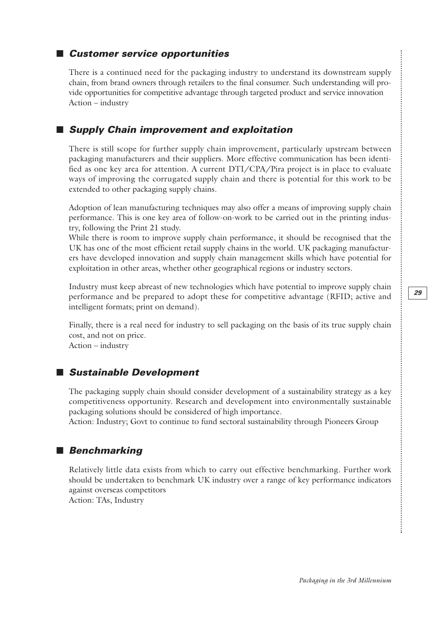#### ■ *Customer service opportunities*

There is a continued need for the packaging industry to understand its downstream supply chain, from brand owners through retailers to the final consumer. Such understanding will provide opportunities for competitive advantage through targeted product and service innovation Action – industry

#### ■ *Supply Chain improvement and exploitation*

There is still scope for further supply chain improvement, particularly upstream between packaging manufacturers and their suppliers. More effective communication has been identified as one key area for attention. A current DTI/CPA/Pira project is in place to evaluate ways of improving the corrugated supply chain and there is potential for this work to be extended to other packaging supply chains.

Adoption of lean manufacturing techniques may also offer a means of improving supply chain performance. This is one key area of follow-on-work to be carried out in the printing industry, following the Print 21 study.

While there is room to improve supply chain performance, it should be recognised that the UK has one of the most efficient retail supply chains in the world. UK packaging manufacturers have developed innovation and supply chain management skills which have potential for exploitation in other areas, whether other geographical regions or industry sectors.

Industry must keep abreast of new technologies which have potential to improve supply chain performance and be prepared to adopt these for competitive advantage (RFID; active and intelligent formats; print on demand).

Finally, there is a real need for industry to sell packaging on the basis of its true supply chain cost, and not on price. Action – industry

#### ■ *Sustainable Development*

The packaging supply chain should consider development of a sustainability strategy as a key competitiveness opportunity. Research and development into environmentally sustainable packaging solutions should be considered of high importance.

Action: Industry; Govt to continue to fund sectoral sustainability through Pioneers Group

#### ■ *Benchmarking*

Relatively little data exists from which to carry out effective benchmarking. Further work should be undertaken to benchmark UK industry over a range of key performance indicators against overseas competitors Action: TAs, Industry

.........